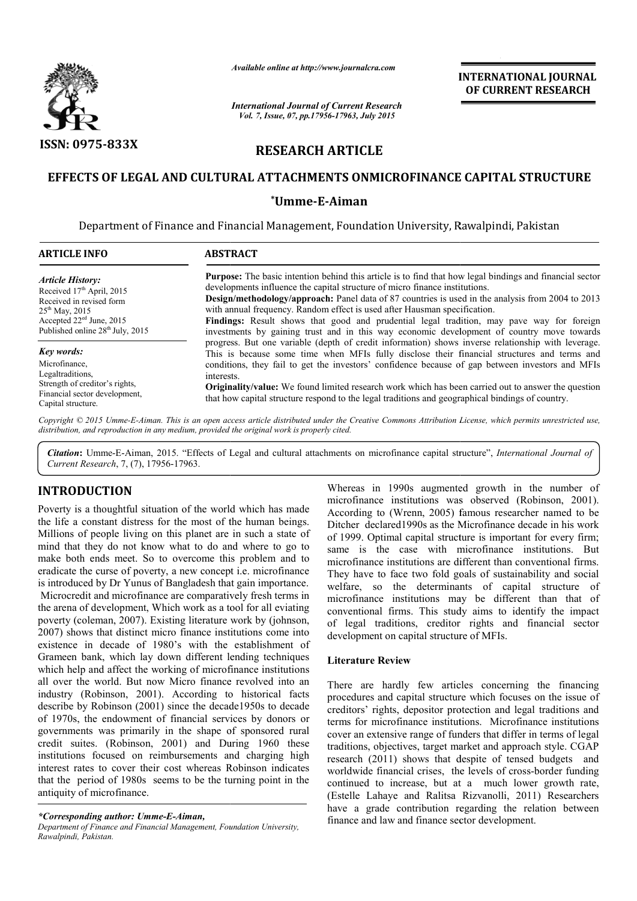

# **RESEARCH ARTICLE**

## EFFECTS OF LEGAL AND CULTURAL ATTACHMENTS ONMICROFINANCE CAPITAL STRUCTURE

## **\*Umme-E-Aiman**

|                                                                                                                                                                                                                                                                                                                                                                                                                                                                                                                                                                                                                                                                                                                                                                                                         | Available online at http://www.journalcra.com                                                    |                                                                                                                                                          | <b>INTERNATIONAL JOURNAL</b><br>OF CURRENT RESEARCH                                                                                                                                                                                                                                                                                                                                                                                                                                                                                                                                                                                                                                                                     |  |  |
|---------------------------------------------------------------------------------------------------------------------------------------------------------------------------------------------------------------------------------------------------------------------------------------------------------------------------------------------------------------------------------------------------------------------------------------------------------------------------------------------------------------------------------------------------------------------------------------------------------------------------------------------------------------------------------------------------------------------------------------------------------------------------------------------------------|--------------------------------------------------------------------------------------------------|----------------------------------------------------------------------------------------------------------------------------------------------------------|-------------------------------------------------------------------------------------------------------------------------------------------------------------------------------------------------------------------------------------------------------------------------------------------------------------------------------------------------------------------------------------------------------------------------------------------------------------------------------------------------------------------------------------------------------------------------------------------------------------------------------------------------------------------------------------------------------------------------|--|--|
|                                                                                                                                                                                                                                                                                                                                                                                                                                                                                                                                                                                                                                                                                                                                                                                                         | <b>International Journal of Current Research</b><br>Vol. 7, Issue, 07, pp.17956-17963, July 2015 |                                                                                                                                                          |                                                                                                                                                                                                                                                                                                                                                                                                                                                                                                                                                                                                                                                                                                                         |  |  |
| ISSN: 0975-833X                                                                                                                                                                                                                                                                                                                                                                                                                                                                                                                                                                                                                                                                                                                                                                                         | <b>RESEARCH ARTICLE</b>                                                                          |                                                                                                                                                          |                                                                                                                                                                                                                                                                                                                                                                                                                                                                                                                                                                                                                                                                                                                         |  |  |
|                                                                                                                                                                                                                                                                                                                                                                                                                                                                                                                                                                                                                                                                                                                                                                                                         |                                                                                                  |                                                                                                                                                          | EFFECTS OF LEGAL AND CULTURAL ATTACHMENTS ONMICROFINANCE CAPITAL STRUCTURE                                                                                                                                                                                                                                                                                                                                                                                                                                                                                                                                                                                                                                              |  |  |
|                                                                                                                                                                                                                                                                                                                                                                                                                                                                                                                                                                                                                                                                                                                                                                                                         | *Umme-E-Aiman                                                                                    |                                                                                                                                                          |                                                                                                                                                                                                                                                                                                                                                                                                                                                                                                                                                                                                                                                                                                                         |  |  |
|                                                                                                                                                                                                                                                                                                                                                                                                                                                                                                                                                                                                                                                                                                                                                                                                         | Department of Finance and Financial Management, Foundation University, Rawalpindi, Pakistan      |                                                                                                                                                          |                                                                                                                                                                                                                                                                                                                                                                                                                                                                                                                                                                                                                                                                                                                         |  |  |
| <b>ARTICLE INFO</b>                                                                                                                                                                                                                                                                                                                                                                                                                                                                                                                                                                                                                                                                                                                                                                                     | <b>ABSTRACT</b>                                                                                  |                                                                                                                                                          |                                                                                                                                                                                                                                                                                                                                                                                                                                                                                                                                                                                                                                                                                                                         |  |  |
| <b>Article History:</b><br>Received 17th April, 2015<br>Received in revised form<br>25 <sup>th</sup> May, 2015<br>Accepted 22 <sup>ed</sup> June, 2015<br>Published online 28 <sup>th</sup> July, 2015                                                                                                                                                                                                                                                                                                                                                                                                                                                                                                                                                                                                  |                                                                                                  | developments influence the capital structure of micro finance institutions.<br>with annual frequency. Random effect is used after Hausman specification. | <b>Purpose:</b> The basic intention behind this article is to find that how legal bindings and financial sector<br>Design/methodology/approach: Panel data of 87 countries is used in the analysis from 2004 to 2013<br>Findings: Result shows that good and prudential legal tradition, may pave way for foreign<br>investments by gaining trust and in this way economic development of country move towards                                                                                                                                                                                                                                                                                                          |  |  |
| Key words:<br>Microfinance,<br>Legaltraditions,<br>Strength of creditor's rights,<br>Financial sector development,<br>Capital structure.                                                                                                                                                                                                                                                                                                                                                                                                                                                                                                                                                                                                                                                                | interests.                                                                                       |                                                                                                                                                          | progress. But one variable (depth of credit information) shows inverse relationship with leverage.<br>This is because some time when MFIs fully disclose their financial structures and terms and<br>conditions, they fail to get the investors' confidence because of gap between investors and MFIs<br>Originality/value: We found limited research work which has been carried out to answer the question<br>that how capital structure respond to the legal traditions and geographical bindings of country.                                                                                                                                                                                                        |  |  |
|                                                                                                                                                                                                                                                                                                                                                                                                                                                                                                                                                                                                                                                                                                                                                                                                         | distribution, and reproduction in any medium, provided the original work is properly cited.      |                                                                                                                                                          | Copyright © 2015 Umme-E-Aiman. This is an open access article distributed under the Creative Commons Attribution License, which permits unrestricted use,                                                                                                                                                                                                                                                                                                                                                                                                                                                                                                                                                               |  |  |
| Current Research, 7, (7), 17956-17963.                                                                                                                                                                                                                                                                                                                                                                                                                                                                                                                                                                                                                                                                                                                                                                  |                                                                                                  |                                                                                                                                                          | Citation: Umme-E-Aiman, 2015. "Effects of Legal and cultural attachments on microfinance capital structure", International Journal of                                                                                                                                                                                                                                                                                                                                                                                                                                                                                                                                                                                   |  |  |
| <b>INTRODUCTION</b>                                                                                                                                                                                                                                                                                                                                                                                                                                                                                                                                                                                                                                                                                                                                                                                     |                                                                                                  |                                                                                                                                                          | Whereas in 1990s augmented growth in the number of                                                                                                                                                                                                                                                                                                                                                                                                                                                                                                                                                                                                                                                                      |  |  |
| Poverty is a thoughtful situation of the world which has made<br>the life a constant distress for the most of the human beings.<br>Millions of people living on this planet are in such a state of<br>mind that they do not know what to do and where to go to<br>make both ends meet. So to overcome this problem and to<br>eradicate the curse of poverty, a new concept <i>i.e.</i> microfinance<br>is introduced by Dr Yunus of Bangladesh that gain importance.<br>Microcredit and microfinance are comparatively fresh terms in<br>the arena of development, Which work as a tool for all eviating<br>poverty (coleman, 2007). Existing literature work by (johnson,<br>2007) shows that distinct micro finance institutions come into<br>existence in decade of 1980's with the establishment of |                                                                                                  | development on capital structure of MFIs.                                                                                                                | microfinance institutions was observed (Robinson, 2001).<br>According to (Wrenn, 2005) famous researcher named to be<br>Ditcher declared 1990s as the Microfinance decade in his work<br>of 1999. Optimal capital structure is important for every firm;<br>same is the case with microfinance institutions. But<br>microfinance institutions are different than conventional firms.<br>They have to face two fold goals of sustainability and social<br>welfare, so the determinants of capital structure of<br>microfinance institutions may be different than that of<br>conventional firms. This study aims to identify the impact<br>of legal traditions, creditor rights and financial sector                     |  |  |
| Grameen bank, which lay down different lending techniques<br>which help and affect the working of microfinance institutions                                                                                                                                                                                                                                                                                                                                                                                                                                                                                                                                                                                                                                                                             |                                                                                                  | <b>Literature Review</b>                                                                                                                                 |                                                                                                                                                                                                                                                                                                                                                                                                                                                                                                                                                                                                                                                                                                                         |  |  |
| all over the world. But now Micro finance revolved into an<br>industry (Robinson, 2001). According to historical facts<br>describe by Robinson (2001) since the decade1950s to decade<br>of 1970s, the endowment of financial services by donors or<br>governments was primarily in the shape of sponsored rural<br>credit suites. (Robinson, 2001) and During 1960 these<br>institutions focused on reimbursements and charging high<br>interest rates to cover their cost whereas Robinson indicates<br>that the period of 1980s seems to be the turning point in the<br>antiquity of microfinance.                                                                                                                                                                                                   |                                                                                                  |                                                                                                                                                          | There are hardly few articles concerning the financing<br>procedures and capital structure which focuses on the issue of<br>creditors' rights, depositor protection and legal traditions and<br>terms for microfinance institutions. Microfinance institutions<br>cover an extensive range of funders that differ in terms of legal<br>traditions, objectives, target market and approach style. CGAP<br>research (2011) shows that despite of tensed budgets and<br>worldwide financial crises, the levels of cross-border funding<br>continued to increase, but at a much lower growth rate,<br>(Estelle Lahaye and Ralitsa Rizvanolli, 2011) Researchers<br>have a grade contribution regarding the relation between |  |  |

## **INTRODUCTION**

## **Literature Review**

There are hardly few articles concerning the financing procedures and capital structure which focuses on the issue of creditors' rights, depositor protection and legal traditions and terms for microfinance institutions. Microfinance institutions cover an extensive range of funders that differ in terms of legal traditions, objectives, target market and approach style. CGAP research (2011) shows that despite of tensed budgets and traditions, objectives, target market and approach style. CGAP<br>research (2011) shows that despite of tensed budgets and<br>worldwide financial crises, the levels of cross-border funding continued to increase, but at a much lower growth rate, continued to increase, but at a much lower growth rate,<br>(Estelle Lahaye and Ralitsa Rizvanolli, 2011) Researchers have a grade contribution regarding the relation between finance and law and finance sector development. itional firms. This study aims to identify the impact<br>
gal traditions, creditor rights and financial sector<br>
pment on capital structure of MFIs.<br> **ture Review**<br>
are hardly few articles concerning the financing<br>
ures and ca

*<sup>\*</sup>Corresponding author: Umme-E-Aiman,*

*Department of Finance and Financial Management, Foundation University, Rawalpindi, Pakistan.*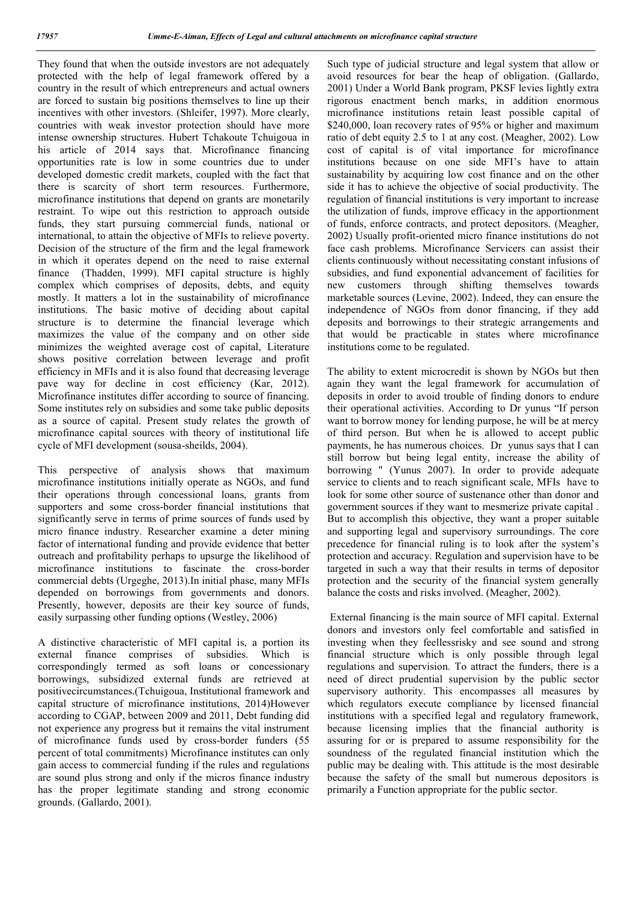They found that when the outside investors are not adequately protected with the help of legal framework offered by a country in the result of which entrepreneurs and actual owners are forced to sustain big positions themselves to line up their incentives with other investors. (Shleifer, 1997). More clearly, countries with weak investor protection should have more intense ownership structures. Hubert Tchakoute Tchuigoua in his article of 2014 says that. Microfinance financing opportunities rate is low in some countries due to under developed domestic credit markets, coupled with the fact that there is scarcity of short term resources. Furthermore, microfinance institutions that depend on grants are monetarily restraint. To wipe out this restriction to approach outside funds, they start pursuing commercial funds, national or international, to attain the objective of MFIs to relieve poverty. Decision of the structure of the firm and the legal framework in which it operates depend on the need to raise external finance (Thadden, 1999). MFI capital structure is highly complex which comprises of deposits, debts, and equity mostly. It matters a lot in the sustainability of microfinance institutions. The basic motive of deciding about capital structure is to determine the financial leverage which maximizes the value of the company and on other side minimizes the weighted average cost of capital, Literature shows positive correlation between leverage and profit efficiency in MFIs and it is also found that decreasing leverage pave way for decline in cost efficiency (Kar, 2012). Microfinance institutes differ according to source of financing. Some institutes rely on subsidies and some take public deposits as a source of capital. Present study relates the growth of microfinance capital sources with theory of institutional life cycle of MFI development (sousa-sheilds, 2004).

This perspective of analysis shows that maximum microfinance institutions initially operate as NGOs, and fund their operations through concessional loans, grants from supporters and some cross-border financial institutions that significantly serve in terms of prime sources of funds used by micro finance industry. Researcher examine a deter mining factor of international funding and provide evidence that better outreach and profitability perhaps to upsurge the likelihood of microfinance institutions to fascinate the cross-border commercial debts (Urgeghe, 2013).In initial phase, many MFIs depended on borrowings from governments and donors. Presently, however, deposits are their key source of funds, easily surpassing other funding options (Westley, 2006)

A distinctive characteristic of MFI capital is, a portion its external finance comprises of subsidies. Which is correspondingly termed as soft loans or concessionary borrowings, subsidized external funds are retrieved at positivecircumstances.(Tchuigoua, Institutional framework and capital structure of microfinance institutions, 2014)However according to CGAP, between 2009 and 2011, Debt funding did not experience any progress but it remains the vital instrument of microfinance funds used by cross-border funders (55 percent of total commitments) Microfinance institutes can only gain access to commercial funding if the rules and regulations are sound plus strong and only if the micros finance industry has the proper legitimate standing and strong economic grounds. (Gallardo, 2001).

Such type of judicial structure and legal system that allow or avoid resources for bear the heap of obligation. (Gallardo, 2001) Under a World Bank program, PKSF levies lightly extra rigorous enactment bench marks, in addition enormous microfinance institutions retain least possible capital of \$240,000, loan recovery rates of 95% or higher and maximum ratio of debt equity 2.5 to 1 at any cost. (Meagher, 2002). Low cost of capital is of vital importance for microfinance institutions because on one side MFI's have to attain sustainability by acquiring low cost finance and on the other side it has to achieve the objective of social productivity. The regulation of financial institutions is very important to increase the utilization of funds, improve efficacy in the apportionment of funds, enforce contracts, and protect depositors. (Meagher, 2002) Usually profit-oriented micro finance institutions do not face cash problems. Microfinance Servicers can assist their clients continuously without necessitating constant infusions of subsidies, and fund exponential advancement of facilities for new customers through shifting themselves towards marketable sources (Levine, 2002). Indeed, they can ensure the independence of NGOs from donor financing, if they add deposits and borrowings to their strategic arrangements and that would be practicable in states where microfinance institutions come to be regulated.

The ability to extent microcredit is shown by NGOs but then again they want the legal framework for accumulation of deposits in order to avoid trouble of finding donors to endure their operational activities. According to Dr yunus "If person want to borrow money for lending purpose, he will be at mercy of third person. But when he is allowed to accept public payments, he has numerous choices. Dr yunus says that I can still borrow but being legal entity, increase the ability of borrowing " (Yunus 2007). In order to provide adequate service to clients and to reach significant scale, MFIs have to look for some other source of sustenance other than donor and government sources if they want to mesmerize private capital . But to accomplish this objective, they want a proper suitable and supporting legal and supervisory surroundings. The core precedence for financial ruling is to look after the system's protection and accuracy. Regulation and supervision have to be targeted in such a way that their results in terms of depositor protection and the security of the financial system generally balance the costs and risks involved. (Meagher, 2002).

External financing is the main source of MFI capital. External donors and investors only feel comfortable and satisfied in investing when they feellessrisky and see sound and strong financial structure which is only possible through legal regulations and supervision. To attract the funders, there is a need of direct prudential supervision by the public sector supervisory authority. This encompasses all measures by which regulators execute compliance by licensed financial institutions with a specified legal and regulatory framework, because licensing implies that the financial authority is assuring for or is prepared to assume responsibility for the soundness of the regulated financial institution which the public may be dealing with. This attitude is the most desirable because the safety of the small but numerous depositors is primarily a Function appropriate for the public sector.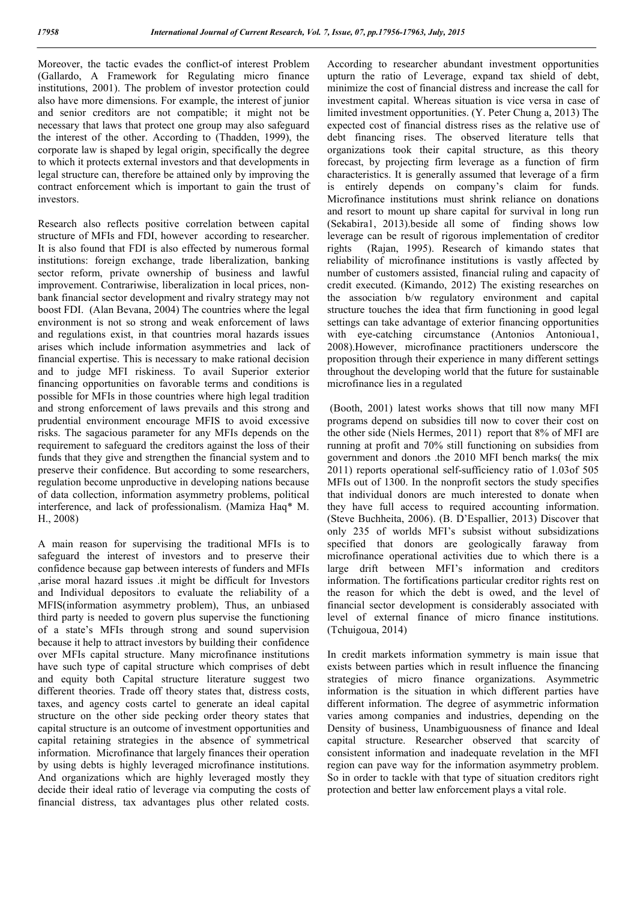Moreover, the tactic evades the conflict-of interest Problem (Gallardo, A Framework for Regulating micro finance institutions, 2001). The problem of investor protection could also have more dimensions. For example, the interest of junior and senior creditors are not compatible; it might not be necessary that laws that protect one group may also safeguard the interest of the other. According to (Thadden, 1999), the corporate law is shaped by legal origin, specifically the degree to which it protects external investors and that developments in legal structure can, therefore be attained only by improving the contract enforcement which is important to gain the trust of investors.

Research also reflects positive correlation between capital structure of MFIs and FDI, however according to researcher. It is also found that FDI is also effected by numerous formal institutions: foreign exchange, trade liberalization, banking sector reform, private ownership of business and lawful improvement. Contrariwise, liberalization in local prices, nonbank financial sector development and rivalry strategy may not boost FDI. (Alan Bevana, 2004) The countries where the legal environment is not so strong and weak enforcement of laws and regulations exist, in that countries moral hazards issues arises which include information asymmetries and lack of financial expertise. This is necessary to make rational decision and to judge MFI riskiness. To avail Superior exterior financing opportunities on favorable terms and conditions is possible for MFIs in those countries where high legal tradition and strong enforcement of laws prevails and this strong and prudential environment encourage MFIS to avoid excessive risks. The sagacious parameter for any MFIs depends on the requirement to safeguard the creditors against the loss of their funds that they give and strengthen the financial system and to preserve their confidence. But according to some researchers, regulation become unproductive in developing nations because of data collection, information asymmetry problems, political interference, and lack of professionalism. (Mamiza Haq\* M. H., 2008)

A main reason for supervising the traditional MFIs is to safeguard the interest of investors and to preserve their confidence because gap between interests of funders and MFIs ,arise moral hazard issues .it might be difficult for Investors and Individual depositors to evaluate the reliability of a MFIS(information asymmetry problem), Thus, an unbiased third party is needed to govern plus supervise the functioning of a state's MFIs through strong and sound supervision because it help to attract investors by building their confidence over MFIs capital structure. Many microfinance institutions have such type of capital structure which comprises of debt and equity both Capital structure literature suggest two different theories. Trade off theory states that, distress costs, taxes, and agency costs cartel to generate an ideal capital structure on the other side pecking order theory states that capital structure is an outcome of investment opportunities and capital retaining strategies in the absence of symmetrical information. Microfinance that largely finances their operation by using debts is highly leveraged microfinance institutions. And organizations which are highly leveraged mostly they decide their ideal ratio of leverage via computing the costs of financial distress, tax advantages plus other related costs.

According to researcher abundant investment opportunities upturn the ratio of Leverage, expand tax shield of debt, minimize the cost of financial distress and increase the call for investment capital. Whereas situation is vice versa in case of limited investment opportunities. (Y. Peter Chung a, 2013) The expected cost of financial distress rises as the relative use of debt financing rises. The observed literature tells that organizations took their capital structure, as this theory forecast, by projecting firm leverage as a function of firm characteristics. It is generally assumed that leverage of a firm is entirely depends on company's claim for funds. Microfinance institutions must shrink reliance on donations and resort to mount up share capital for survival in long run (Sekabira1, 2013).beside all some of finding shows low leverage can be result of rigorous implementation of creditor rights (Rajan, 1995). Research of kimando states that reliability of microfinance institutions is vastly affected by number of customers assisted, financial ruling and capacity of credit executed. (Kimando, 2012) The existing researches on the association b/w regulatory environment and capital structure touches the idea that firm functioning in good legal settings can take advantage of exterior financing opportunities with eye-catching circumstance (Antonios Antonioual, 2008).However, microfinance practitioners underscore the proposition through their experience in many different settings throughout the developing world that the future for sustainable microfinance lies in a regulated

(Booth, 2001) latest works shows that till now many MFI programs depend on subsidies till now to cover their cost on the other side (Niels Hermes, 2011) report that 8% of MFI are running at profit and 70% still functioning on subsidies from government and donors .the 2010 MFI bench marks( the mix 2011) reports operational self-sufficiency ratio of 1.03of 505 MFIs out of 1300. In the nonprofit sectors the study specifies that individual donors are much interested to donate when they have full access to required accounting information. (Steve Buchheita, 2006). (B. D'Espallier, 2013) Discover that only 235 of worlds MFI's subsist without subsidizations specified that donors are geologically faraway from microfinance operational activities due to which there is a large drift between MFI's information and creditors information. The fortifications particular creditor rights rest on the reason for which the debt is owed, and the level of financial sector development is considerably associated with level of external finance of micro finance institutions. (Tchuigoua, 2014)

In credit markets information symmetry is main issue that exists between parties which in result influence the financing strategies of micro finance organizations. Asymmetric information is the situation in which different parties have different information. The degree of asymmetric information varies among companies and industries, depending on the Density of business, Unambiguousness of finance and Ideal capital structure. Researcher observed that scarcity of consistent information and inadequate revelation in the MFI region can pave way for the information asymmetry problem. So in order to tackle with that type of situation creditors right protection and better law enforcement plays a vital role.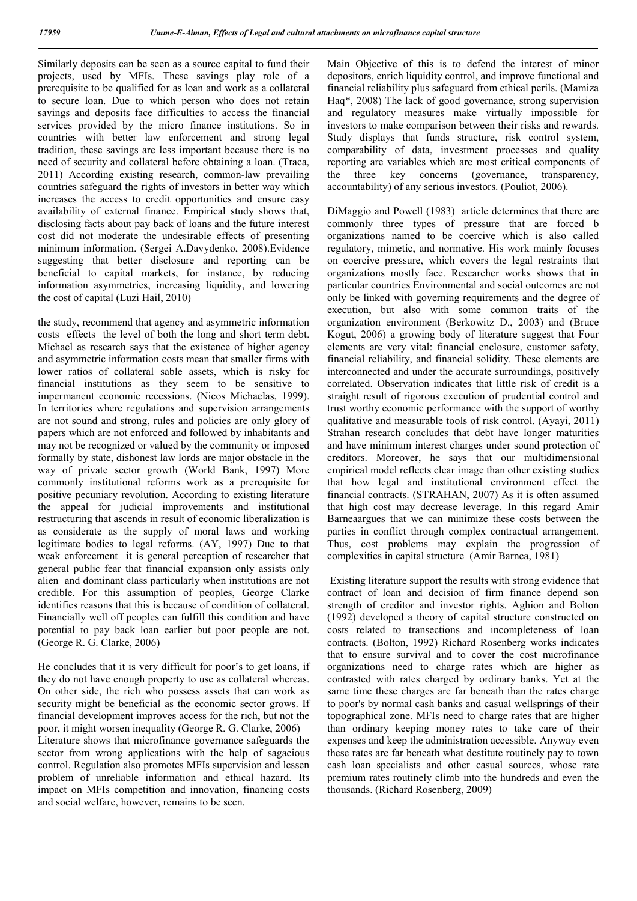Similarly deposits can be seen as a source capital to fund their projects, used by MFIs. These savings play role of a prerequisite to be qualified for as loan and work as a collateral to secure loan. Due to which person who does not retain savings and deposits face difficulties to access the financial services provided by the micro finance institutions. So in countries with better law enforcement and strong legal tradition, these savings are less important because there is no need of security and collateral before obtaining a loan. (Traca, 2011) According existing research, common-law prevailing countries safeguard the rights of investors in better way which increases the access to credit opportunities and ensure easy availability of external finance. Empirical study shows that, disclosing facts about pay back of loans and the future interest cost did not moderate the undesirable effects of presenting minimum information. (Sergei A.Davydenko, 2008).Evidence suggesting that better disclosure and reporting can be beneficial to capital markets, for instance, by reducing information asymmetries, increasing liquidity, and lowering the cost of capital (Luzi Hail, 2010)

the study, recommend that agency and asymmetric information costs effects the level of both the long and short term debt. Michael as research says that the existence of higher agency and asymmetric information costs mean that smaller firms with lower ratios of collateral sable assets, which is risky for financial institutions as they seem to be sensitive to impermanent economic recessions. (Nicos Michaelas, 1999). In territories where regulations and supervision arrangements are not sound and strong, rules and policies are only glory of papers which are not enforced and followed by inhabitants and may not be recognized or valued by the community or imposed formally by state, dishonest law lords are major obstacle in the way of private sector growth (World Bank, 1997) More commonly institutional reforms work as a prerequisite for positive pecuniary revolution. According to existing literature the appeal for judicial improvements and institutional restructuring that ascends in result of economic liberalization is as considerate as the supply of moral laws and working legitimate bodies to legal reforms. (AY, 1997) Due to that weak enforcement it is general perception of researcher that general public fear that financial expansion only assists only alien and dominant class particularly when institutions are not credible. For this assumption of peoples, George Clarke identifies reasons that this is because of condition of collateral. Financially well off peoples can fulfill this condition and have potential to pay back loan earlier but poor people are not. (George R. G. Clarke, 2006)

He concludes that it is very difficult for poor's to get loans, if they do not have enough property to use as collateral whereas. On other side, the rich who possess assets that can work as security might be beneficial as the economic sector grows. If financial development improves access for the rich, but not the poor, it might worsen inequality (George R. G. Clarke, 2006) Literature shows that microfinance governance safeguards the sector from wrong applications with the help of sagacious control. Regulation also promotes MFIs supervision and lessen problem of unreliable information and ethical hazard. Its impact on MFIs competition and innovation, financing costs and social welfare, however, remains to be seen.

Main Objective of this is to defend the interest of minor depositors, enrich liquidity control, and improve functional and financial reliability plus safeguard from ethical perils. (Mamiza Haq\*, 2008) The lack of good governance, strong supervision and regulatory measures make virtually impossible for investors to make comparison between their risks and rewards. Study displays that funds structure, risk control system, comparability of data, investment processes and quality reporting are variables which are most critical components of the three key concerns (governance, transparency, accountability) of any serious investors. (Pouliot, 2006).

DiMaggio and Powell (1983) article determines that there are commonly three types of pressure that are forced b organizations named to be coercive which is also called regulatory, mimetic, and normative. His work mainly focuses on coercive pressure, which covers the legal restraints that organizations mostly face. Researcher works shows that in particular countries Environmental and social outcomes are not only be linked with governing requirements and the degree of execution, but also with some common traits of the organization environment (Berkowitz D., 2003) and (Bruce Kogut, 2006) a growing body of literature suggest that Four elements are very vital: financial enclosure, customer safety, financial reliability, and financial solidity. These elements are interconnected and under the accurate surroundings, positively correlated. Observation indicates that little risk of credit is a straight result of rigorous execution of prudential control and trust worthy economic performance with the support of worthy qualitative and measurable tools of risk control. (Ayayi, 2011) Strahan research concludes that debt have longer maturities and have minimum interest charges under sound protection of creditors. Moreover, he says that our multidimensional empirical model reflects clear image than other existing studies that how legal and institutional environment effect the financial contracts. (STRAHAN, 2007) As it is often assumed that high cost may decrease leverage. In this regard Amir Barneaargues that we can minimize these costs between the parties in conflict through complex contractual arrangement. Thus, cost problems may explain the progression of complexities in capital structure (Amir Barnea, 1981)

Existing literature support the results with strong evidence that contract of loan and decision of firm finance depend son strength of creditor and investor rights. Aghion and Bolton (1992) developed a theory of capital structure constructed on costs related to transections and incompleteness of loan contracts. (Bolton, 1992) Richard Rosenberg works indicates that to ensure survival and to cover the cost microfinance organizations need to charge rates which are higher as contrasted with rates charged by ordinary banks. Yet at the same time these charges are far beneath than the rates charge to poor's by normal cash banks and casual wellsprings of their topographical zone. MFIs need to charge rates that are higher than ordinary keeping money rates to take care of their expenses and keep the administration accessible. Anyway even these rates are far beneath what destitute routinely pay to town cash loan specialists and other casual sources, whose rate premium rates routinely climb into the hundreds and even the thousands. (Richard Rosenberg, 2009)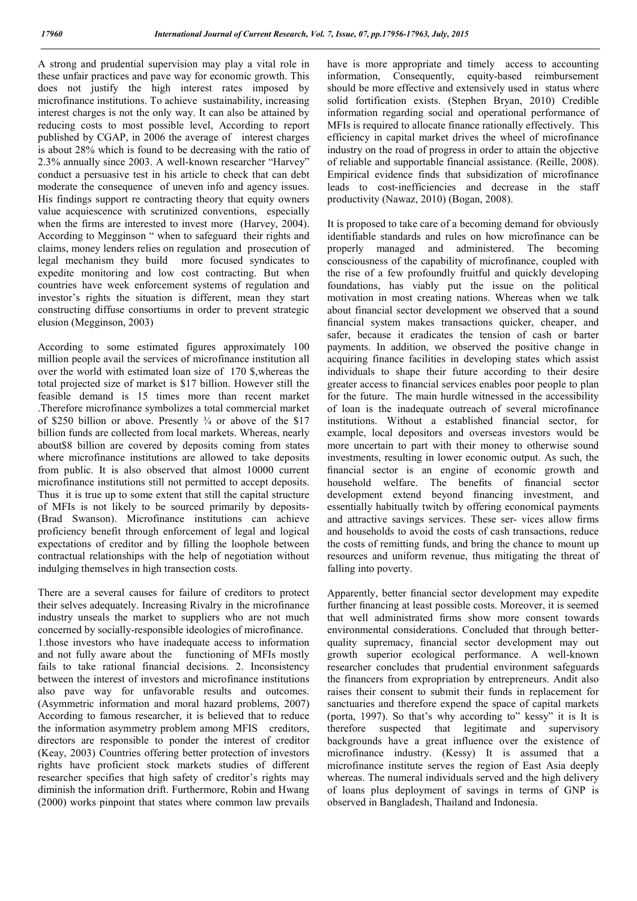A strong and prudential supervision may play a vital role in these unfair practices and pave way for economic growth. This does not justify the high interest rates imposed by microfinance institutions. To achieve sustainability, increasing interest charges is not the only way. It can also be attained by reducing costs to most possible level, According to report published by CGAP, in 2006 the average of interest charges is about 28% which is found to be decreasing with the ratio of 2.3% annually since 2003. A well-known researcher "Harvey" conduct a persuasive test in his article to check that can debt moderate the consequence of uneven info and agency issues. His findings support re contracting theory that equity owners value acquiescence with scrutinized conventions, especially when the firms are interested to invest more (Harvey, 2004). According to Megginson " when to safeguard their rights and claims, money lenders relies on regulation and prosecution of legal mechanism they build more focused syndicates to expedite monitoring and low cost contracting. But when countries have week enforcement systems of regulation and investor's rights the situation is different, mean they start constructing diffuse consortiums in order to prevent strategic elusion (Megginson, 2003)

According to some estimated figures approximately 100 million people avail the services of microfinance institution all over the world with estimated loan size of 170 \$,whereas the total projected size of market is \$17 billion. However still the feasible demand is 15 times more than recent market .Therefore microfinance symbolizes a total commercial market of \$250 billion or above. Presently ¾ or above of the \$17 billion funds are collected from local markets. Whereas, nearly about\$8 billion are covered by deposits coming from states where microfinance institutions are allowed to take deposits from public. It is also observed that almost 10000 current microfinance institutions still not permitted to accept deposits. Thus it is true up to some extent that still the capital structure of MFIs is not likely to be sourced primarily by deposits- (Brad Swanson). Microfinance institutions can achieve proficiency benefit through enforcement of legal and logical expectations of creditor and by filling the loophole between contractual relationships with the help of negotiation without indulging themselves in high transection costs.

There are a several causes for failure of creditors to protect their selves adequately. Increasing Rivalry in the microfinance industry unseals the market to suppliers who are not much concerned by socially-responsible ideologies of microfinance. 1.those investors who have inadequate access to information and not fully aware about the functioning of MFIs mostly fails to take rational financial decisions. 2. Inconsistency between the interest of investors and microfinance institutions also pave way for unfavorable results and outcomes. (Asymmetric information and moral hazard problems, 2007) According to famous researcher, it is believed that to reduce the information asymmetry problem among MFIS creditors, directors are responsible to ponder the interest of creditor (Keay, 2003) Countries offering better protection of investors rights have proficient stock markets studies of different researcher specifies that high safety of creditor's rights may diminish the information drift. Furthermore, Robin and Hwang (2000) works pinpoint that states where common law prevails have is more appropriate and timely access to accounting information, Consequently, equity-based reimbursement should be more effective and extensively used in status where solid fortification exists. (Stephen Bryan, 2010) Credible information regarding social and operational performance of MFIs is required to allocate finance rationally effectively. This efficiency in capital market drives the wheel of microfinance industry on the road of progress in order to attain the objective of reliable and supportable financial assistance. (Reille, 2008). Empirical evidence finds that subsidization of microfinance leads to cost‐inefficiencies and decrease in the staff productivity (Nawaz, 2010) (Bogan, 2008).

It is proposed to take care of a becoming demand for obviously identifiable standards and rules on how microfinance can be properly managed and administered. The becoming consciousness of the capability of microfinance, coupled with the rise of a few profoundly fruitful and quickly developing foundations, has viably put the issue on the political motivation in most creating nations. Whereas when we talk about financial sector development we observed that a sound financial system makes transactions quicker, cheaper, and safer, because it eradicates the tension of cash or barter payments. In addition, we observed the positive change in acquiring finance facilities in developing states which assist individuals to shape their future according to their desire greater access to financial services enables poor people to plan for the future. The main hurdle witnessed in the accessibility of loan is the inadequate outreach of several microfinance institutions. Without a established financial sector, for example, local depositors and overseas investors would be more uncertain to part with their money to otherwise sound investments, resulting in lower economic output. As such, the financial sector is an engine of economic growth and household welfare. The benefits of financial sector development extend beyond financing investment, and essentially habitually twitch by offering economical payments and attractive savings services. These ser- vices allow firms and households to avoid the costs of cash transactions, reduce the costs of remitting funds, and bring the chance to mount up resources and uniform revenue, thus mitigating the threat of falling into poverty.

Apparently, better financial sector development may expedite further financing at least possible costs. Moreover, it is seemed that well administrated firms show more consent towards environmental considerations. Concluded that through betterquality supremacy, financial sector development may out growth superior ecological performance. A well-known researcher concludes that prudential environment safeguards the financers from expropriation by entrepreneurs. Andit also raises their consent to submit their funds in replacement for sanctuaries and therefore expend the space of capital markets (porta, 1997). So that's why according to" kessy" it is It is therefore suspected that legitimate and supervisory backgrounds have a great influence over the existence of microfinance industry. (Kessy) It is assumed that a microfinance institute serves the region of East Asia deeply whereas. The numeral individuals served and the high delivery of loans plus deployment of savings in terms of GNP is observed in Bangladesh, Thailand and Indonesia.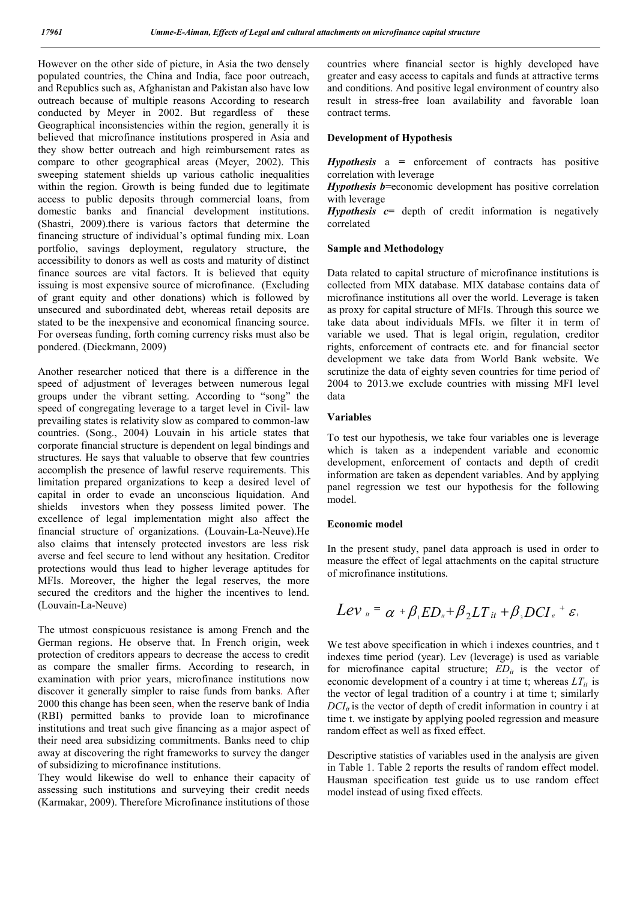However on the other side of picture, in Asia the two densely populated countries, the China and India, face poor outreach, and Republics such as, Afghanistan and Pakistan also have low outreach because of multiple reasons According to research conducted by Meyer in 2002. But regardless of these Geographical inconsistencies within the region, generally it is believed that microfinance institutions prospered in Asia and they show better outreach and high reimbursement rates as compare to other geographical areas (Meyer, 2002). This sweeping statement shields up various catholic inequalities within the region. Growth is being funded due to legitimate access to public deposits through commercial loans, from domestic banks and financial development institutions. (Shastri, 2009).there is various factors that determine the financing structure of individual's optimal funding mix. Loan portfolio, savings deployment, regulatory structure, the accessibility to donors as well as costs and maturity of distinct finance sources are vital factors. It is believed that equity issuing is most expensive source of microfinance. (Excluding of grant equity and other donations) which is followed by unsecured and subordinated debt, whereas retail deposits are stated to be the inexpensive and economical financing source. For overseas funding, forth coming currency risks must also be pondered. (Dieckmann, 2009)

Another researcher noticed that there is a difference in the speed of adjustment of leverages between numerous legal groups under the vibrant setting. According to "song" the speed of congregating leverage to a target level in Civil- law prevailing states is relativity slow as compared to common-law countries. (Song., 2004) Louvain in his article states that corporate financial structure is dependent on legal bindings and structures. He says that valuable to observe that few countries accomplish the presence of lawful reserve requirements. This limitation prepared organizations to keep a desired level of capital in order to evade an unconscious liquidation. And shields investors when they possess limited power. The excellence of legal implementation might also affect the financial structure of organizations. (Louvain-La-Neuve).He also claims that intensely protected investors are less risk averse and feel secure to lend without any hesitation. Creditor protections would thus lead to higher leverage aptitudes for MFIs. Moreover, the higher the legal reserves, the more secured the creditors and the higher the incentives to lend. (Louvain-La-Neuve)

The utmost conspicuous resistance is among French and the German regions. He observe that. In French origin, week protection of creditors appears to decrease the access to credit as compare the smaller firms. According to research, in examination with prior years, microfinance institutions now discover it generally simpler to raise funds from banks. After 2000 this change has been seen, when the reserve bank of India (RBI) permitted banks to provide loan to microfinance institutions and treat such give financing as a major aspect of their need area subsidizing commitments. Banks need to chip away at discovering the right frameworks to survey the danger of subsidizing to microfinance institutions.

They would likewise do well to enhance their capacity of assessing such institutions and surveying their credit needs (Karmakar, 2009). Therefore Microfinance institutions of those

countries where financial sector is highly developed have greater and easy access to capitals and funds at attractive terms and conditions. And positive legal environment of country also result in stress-free loan availability and favorable loan contract terms.

### **Development of Hypothesis**

*Hypothesis* a *=* enforcement of contracts has positive correlation with leverage

*Hypothesis b=*economic development has positive correlation with leverage

*Hypothesis*  $c$ = depth of credit information is negatively correlated

### **Sample and Methodology**

Data related to capital structure of microfinance institutions is collected from MIX database. MIX database contains data of microfinance institutions all over the world. Leverage is taken as proxy for capital structure of MFIs. Through this source we take data about individuals MFIs. we filter it in term of variable we used. That is legal origin, regulation, creditor rights, enforcement of contracts etc. and for financial sector development we take data from World Bank website. We scrutinize the data of eighty seven countries for time period of 2004 to 2013.we exclude countries with missing MFI level data

## **Variables**

To test our hypothesis, we take four variables one is leverage which is taken as a independent variable and economic development, enforcement of contacts and depth of credit information are taken as dependent variables. And by applying panel regression we test our hypothesis for the following model.

#### **Economic model**

In the present study, panel data approach is used in order to measure the effect of legal attachments on the capital structure of microfinance institutions.

$$
Lev_{u} = \alpha + \beta_{1}ED_{u} + \beta_{2}LT_{it} + \beta_{3} DCI_{u} + \varepsilon_{i}
$$

We test above specification in which i indexes countries, and t indexes time period (year). Lev (leverage) is used as variable for microfinance capital structure;  $ED_{it}$  is the vector of economic development of a country i at time t; whereas  $LT_{it}$  is the vector of legal tradition of a country i at time t; similarly  $DCI_{it}$  is the vector of depth of credit information in country i at time t. we instigate by applying pooled regression and measure random effect as well as fixed effect.

Descriptive statistics of variables used in the analysis are given in Table 1. Table 2 reports the results of random effect model. Hausman specification test guide us to use random effect model instead of using fixed effects.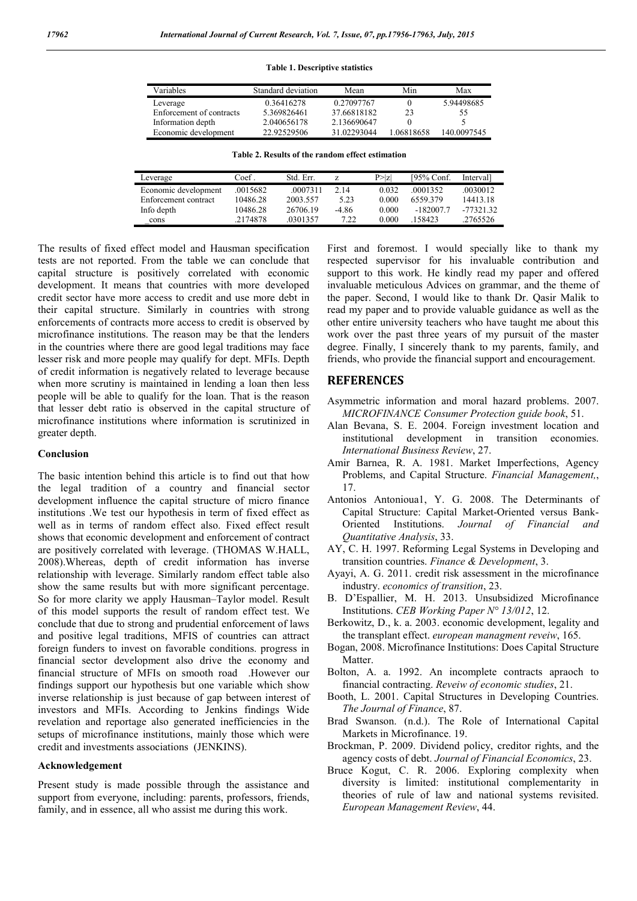#### **Table 1. Descriptive statistics**

| Variables                | Standard deviation | Mean        | Min        | Max         |  |
|--------------------------|--------------------|-------------|------------|-------------|--|
| Leverage                 | 0.36416278         | 0.27097767  |            | 5.94498685  |  |
| Enforcement of contracts | 5.369826461        | 37.66818182 | 23         | 55          |  |
| Information depth        | 2.040656178        | 2.136690647 |            |             |  |
| Economic development     | 22.92529506        | 31.02293044 | 1.06818658 | 140.0097545 |  |

| Table 2. Results of the random effect estimation |  |
|--------------------------------------------------|--|
|--------------------------------------------------|--|

| Leverage             | Coef.    | Std. Err. |       | P >  Z | [95% Conf.  | Intervall   |
|----------------------|----------|-----------|-------|--------|-------------|-------------|
| Economic development | .0015682 | .0007311  | 2.14  | 0.032  | 0001352     | .0030012    |
| Enforcement contract | 10486.28 | 2003 557  | 5.23  | 0.000  | 6559379     | 14413.18    |
| Info depth           | 10486.28 | 26706.19  | -4.86 | 0.000  | $-182007.7$ | $-77321.32$ |
| cons                 | 2174878  | .0301357  | 7.22  | 0.000  | 158423      | .2765526    |

The results of fixed effect model and Hausman specification tests are not reported. From the table we can conclude that capital structure is positively correlated with economic development. It means that countries with more developed credit sector have more access to credit and use more debt in their capital structure. Similarly in countries with strong enforcements of contracts more access to credit is observed by microfinance institutions. The reason may be that the lenders in the countries where there are good legal traditions may face lesser risk and more people may qualify for dept. MFIs. Depth of credit information is negatively related to leverage because when more scrutiny is maintained in lending a loan then less people will be able to qualify for the loan. That is the reason that lesser debt ratio is observed in the capital structure of microfinance institutions where information is scrutinized in greater depth.

### **Conclusion**

The basic intention behind this article is to find out that how the legal tradition of a country and financial sector development influence the capital structure of micro finance institutions .We test our hypothesis in term of fixed effect as well as in terms of random effect also. Fixed effect result shows that economic development and enforcement of contract are positively correlated with leverage. (THOMAS W.HALL, 2008).Whereas, depth of credit information has inverse relationship with leverage. Similarly random effect table also show the same results but with more significant percentage. So for more clarity we apply Hausman–Taylor model. Result of this model supports the result of random effect test. We conclude that due to strong and prudential enforcement of laws and positive legal traditions, MFIS of countries can attract foreign funders to invest on favorable conditions. progress in financial sector development also drive the economy and financial structure of MFIs on smooth road .However our findings support our hypothesis but one variable which show inverse relationship is just because of gap between interest of investors and MFIs. According to Jenkins findings Wide revelation and reportage also generated inefficiencies in the setups of microfinance institutions, mainly those which were credit and investments associations (JENKINS).

#### **Acknowledgement**

Present study is made possible through the assistance and support from everyone, including: parents, professors, friends, family, and in essence, all who assist me during this work.

First and foremost. I would specially like to thank my respected supervisor for his invaluable contribution and support to this work. He kindly read my paper and offered invaluable meticulous Advices on grammar, and the theme of the paper. Second, I would like to thank Dr. Qasir Malik to read my paper and to provide valuable guidance as well as the other entire university teachers who have taught me about this work over the past three years of my pursuit of the master degree. Finally, I sincerely thank to my parents, family, and friends, who provide the financial support and encouragement.

## **REFERENCES**

- Asymmetric information and moral hazard problems. 2007. *MICROFINANCE Consumer Protection guide book*, 51.
- Alan Bevana, S. E. 2004. Foreign investment location and institutional development in transition economies. *International Business Review*, 27.
- Amir Barnea, R. A. 1981. Market Imperfections, Agency Problems, and Capital Structure. *Financial Management,*, 17.
- Antonios Antonioua1, Y. G. 2008. The Determinants of Capital Structure: Capital Market-Oriented versus Bank-Oriented Institutions. *Journal of Financial and Quantitative Analysis*, 33.
- AY, C. H. 1997. Reforming Legal Systems in Developing and transition countries. *Finance & Development*, 3.
- Ayayi, A. G. 2011. credit risk assessment in the microfinance industry. *economics of transition*, 23.
- B. D'Espallier, M. H. 2013. Unsubsidized Microfinance Institutions. *CEB Working Paper N° 13/012*, 12.
- Berkowitz, D., k. a. 2003. economic development, legality and the transplant effect. *european managment reveiw*, 165.
- Bogan, 2008. Microfinance Institutions: Does Capital Structure Matter.
- Bolton, A. a. 1992. An incomplete contracts apraoch to financial contracting. *Reveiw of economic studies*, 21.
- Booth, L. 2001. Capital Structures in Developing Countries. *The Journal of Finance*, 87.
- Brad Swanson. (n.d.). The Role of International Capital Markets in Microfinance. 19.
- Brockman, P. 2009. Dividend policy, creditor rights, and the agency costs of debt. *Journal of Financial Economics*, 23.
- Bruce Kogut, C. R. 2006. Exploring complexity when diversity is limited: institutional complementarity in theories of rule of law and national systems revisited. *European Management Review*, 44.